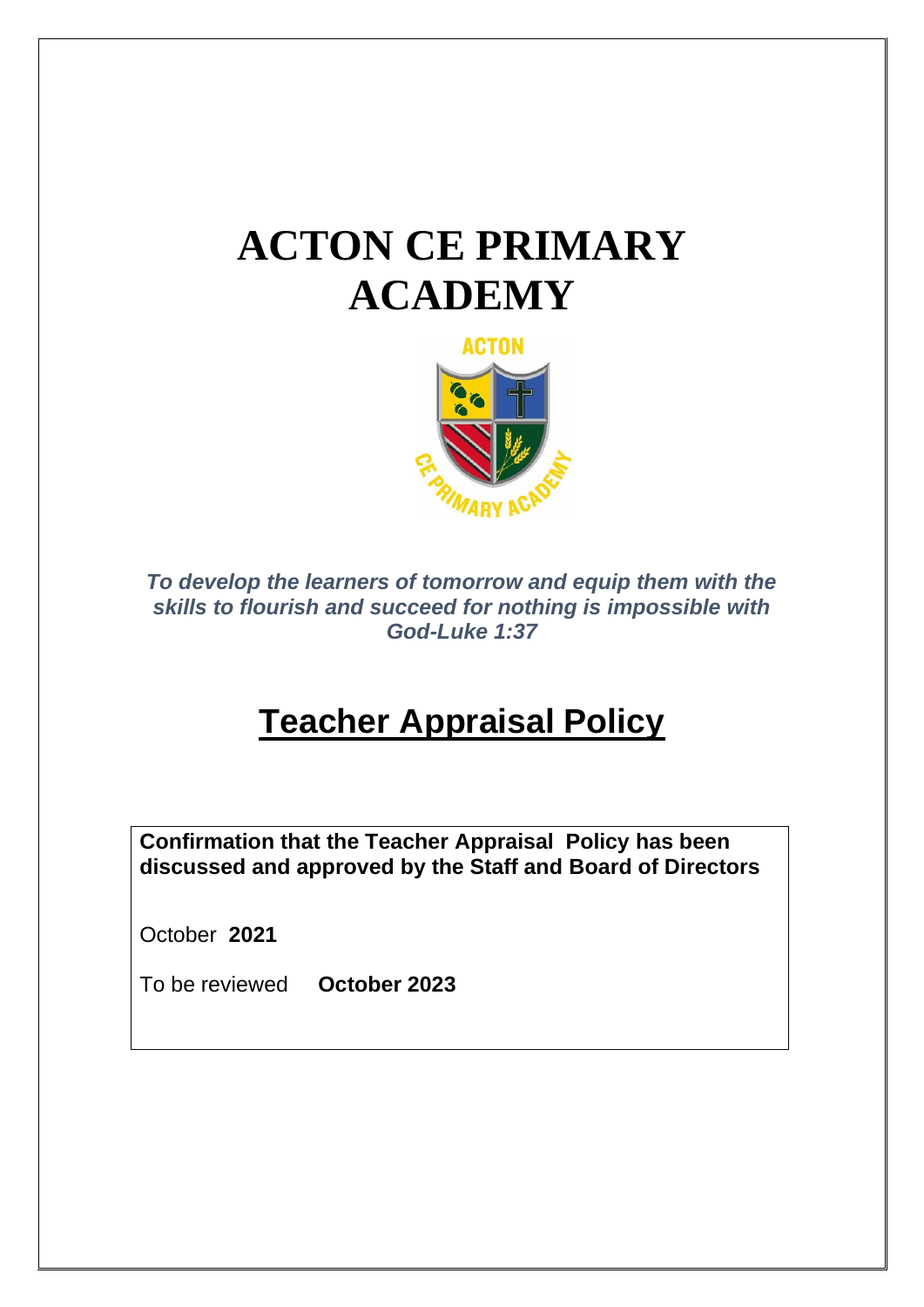# **ACTON CE PRIMARY ACADEMY**



*To develop the learners of tomorrow and equip them with the skills to flourish and succeed for nothing is impossible with God-Luke 1:37*

# **Teacher Appraisal Policy**

**Confirmation that the Teacher Appraisal Policy has been discussed and approved by the Staff and Board of Directors**

October **2021**

To be reviewed **October 2023**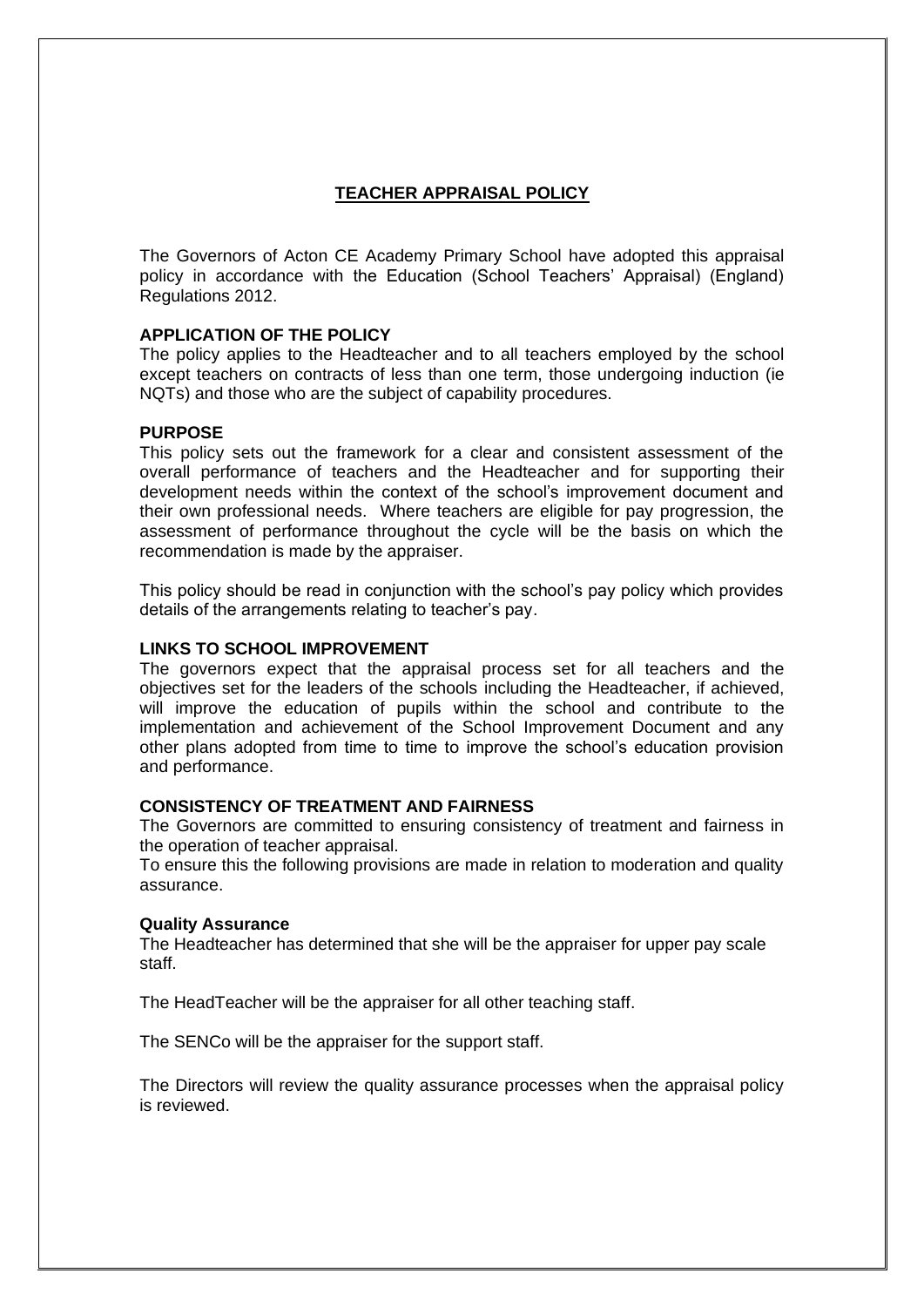# **TEACHER APPRAISAL POLICY**

The Governors of Acton CE Academy Primary School have adopted this appraisal policy in accordance with the Education (School Teachers' Appraisal) (England) Regulations 2012.

# **APPLICATION OF THE POLICY**

The policy applies to the Headteacher and to all teachers employed by the school except teachers on contracts of less than one term, those undergoing induction (ie NQTs) and those who are the subject of capability procedures.

# **PURPOSE**

This policy sets out the framework for a clear and consistent assessment of the overall performance of teachers and the Headteacher and for supporting their development needs within the context of the school's improvement document and their own professional needs. Where teachers are eligible for pay progression, the assessment of performance throughout the cycle will be the basis on which the recommendation is made by the appraiser.

This policy should be read in conjunction with the school's pay policy which provides details of the arrangements relating to teacher's pay.

# **LINKS TO SCHOOL IMPROVEMENT**

The governors expect that the appraisal process set for all teachers and the objectives set for the leaders of the schools including the Headteacher, if achieved, will improve the education of pupils within the school and contribute to the implementation and achievement of the School Improvement Document and any other plans adopted from time to time to improve the school's education provision and performance.

# **CONSISTENCY OF TREATMENT AND FAIRNESS**

The Governors are committed to ensuring consistency of treatment and fairness in the operation of teacher appraisal.

To ensure this the following provisions are made in relation to moderation and quality assurance.

# **Quality Assurance**

The Headteacher has determined that she will be the appraiser for upper pay scale staff.

The HeadTeacher will be the appraiser for all other teaching staff.

The SENCo will be the appraiser for the support staff.

The Directors will review the quality assurance processes when the appraisal policy is reviewed.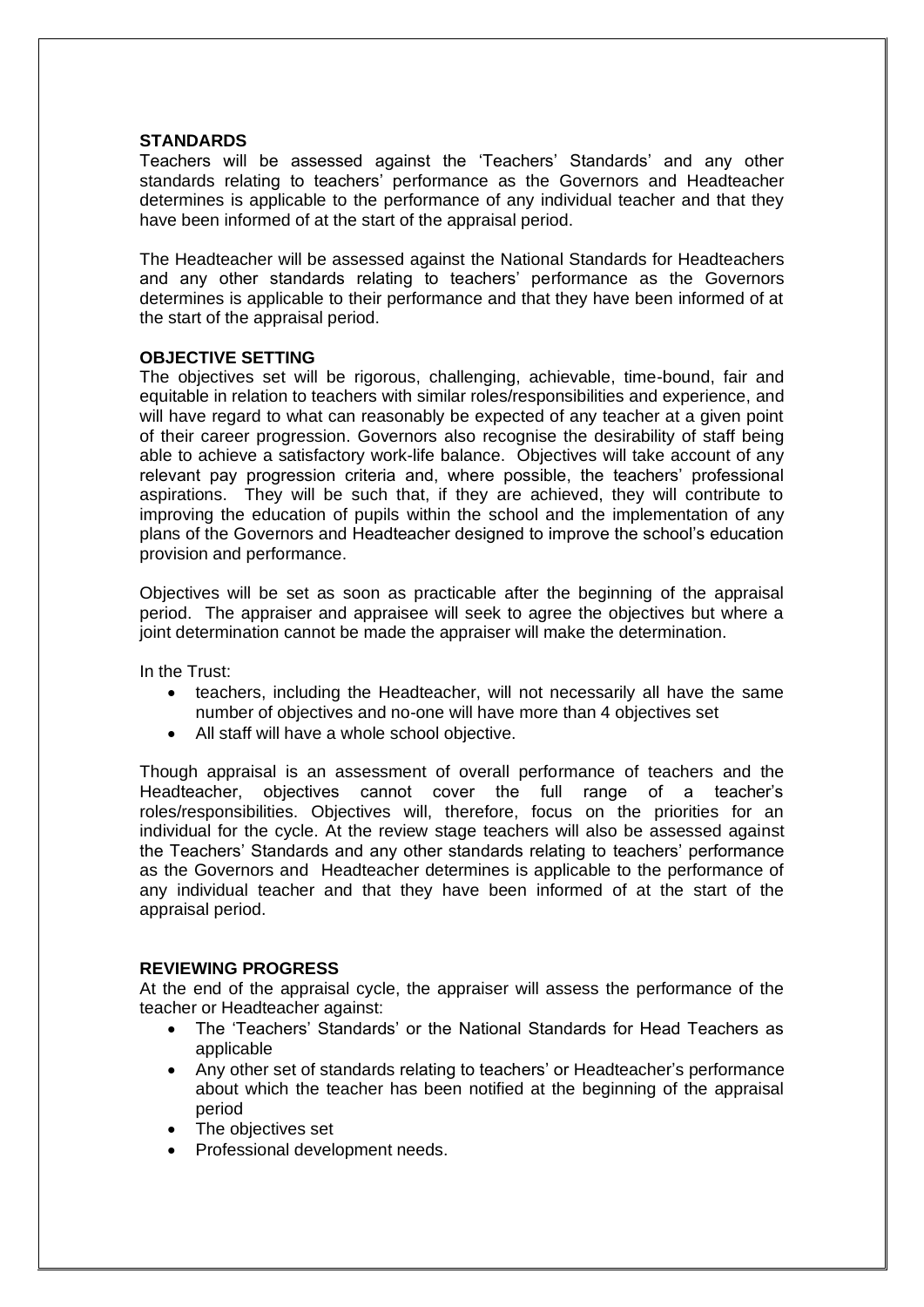# **STANDARDS**

Teachers will be assessed against the 'Teachers' Standards' and any other standards relating to teachers' performance as the Governors and Headteacher determines is applicable to the performance of any individual teacher and that they have been informed of at the start of the appraisal period.

The Headteacher will be assessed against the National Standards for Headteachers and any other standards relating to teachers' performance as the Governors determines is applicable to their performance and that they have been informed of at the start of the appraisal period.

# **OBJECTIVE SETTING**

The objectives set will be rigorous, challenging, achievable, time-bound, fair and equitable in relation to teachers with similar roles/responsibilities and experience, and will have regard to what can reasonably be expected of any teacher at a given point of their career progression. Governors also recognise the desirability of staff being able to achieve a satisfactory work-life balance. Objectives will take account of any relevant pay progression criteria and, where possible, the teachers' professional aspirations. They will be such that, if they are achieved, they will contribute to improving the education of pupils within the school and the implementation of any plans of the Governors and Headteacher designed to improve the school's education provision and performance.

Objectives will be set as soon as practicable after the beginning of the appraisal period. The appraiser and appraisee will seek to agree the objectives but where a joint determination cannot be made the appraiser will make the determination.

In the Trust:

- teachers, including the Headteacher, will not necessarily all have the same number of objectives and no-one will have more than 4 objectives set
- All staff will have a whole school objective.

Though appraisal is an assessment of overall performance of teachers and the Headteacher, objectives cannot cover the full range of a teacher's roles/responsibilities. Objectives will, therefore, focus on the priorities for an individual for the cycle. At the review stage teachers will also be assessed against the Teachers' Standards and any other standards relating to teachers' performance as the Governors and Headteacher determines is applicable to the performance of any individual teacher and that they have been informed of at the start of the appraisal period.

# **REVIEWING PROGRESS**

At the end of the appraisal cycle, the appraiser will assess the performance of the teacher or Headteacher against:

- The 'Teachers' Standards' or the National Standards for Head Teachers as applicable
- Any other set of standards relating to teachers' or Headteacher's performance about which the teacher has been notified at the beginning of the appraisal period
- The objectives set
- Professional development needs.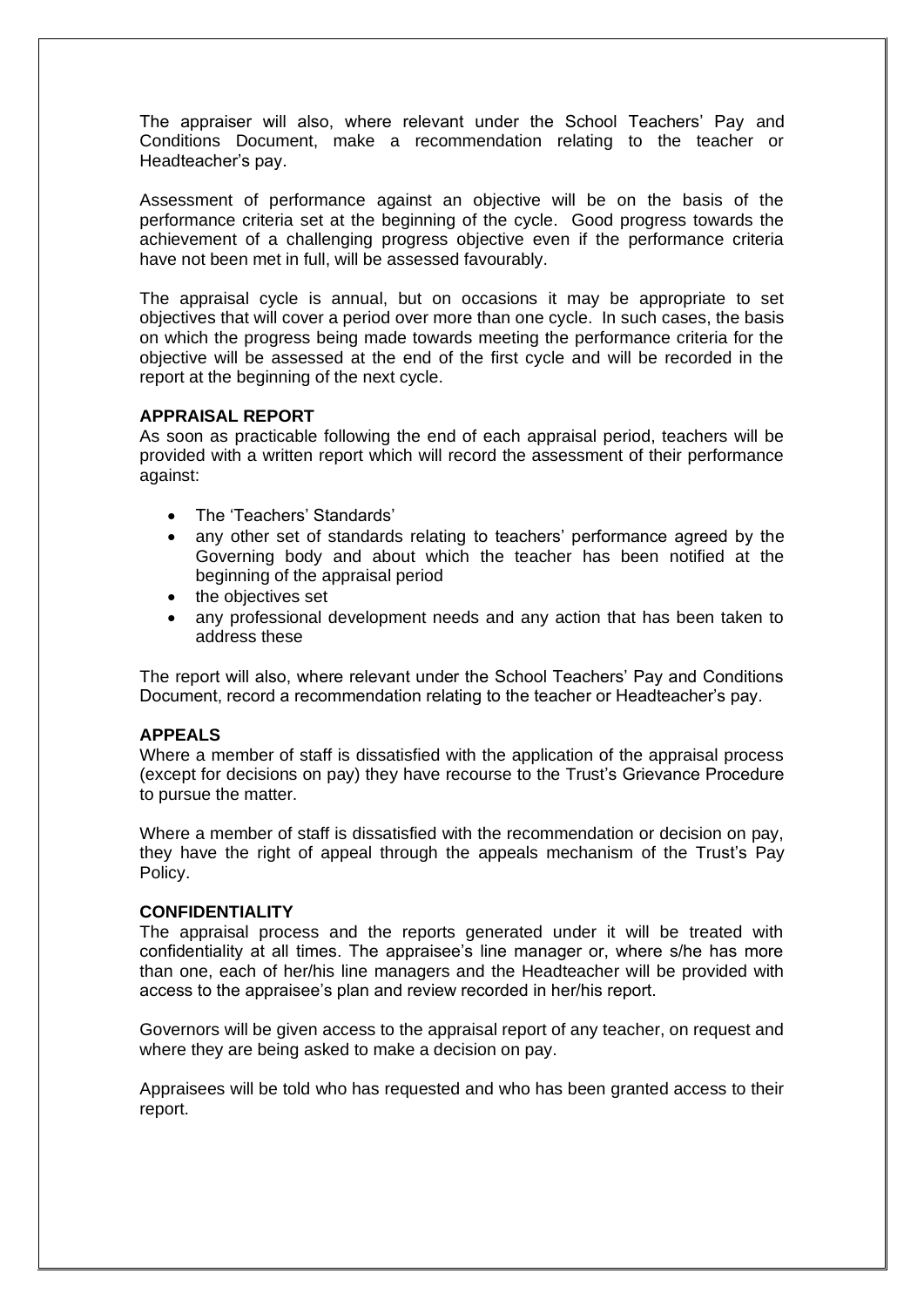The appraiser will also, where relevant under the School Teachers' Pay and Conditions Document, make a recommendation relating to the teacher or Headteacher's pay.

Assessment of performance against an objective will be on the basis of the performance criteria set at the beginning of the cycle. Good progress towards the achievement of a challenging progress objective even if the performance criteria have not been met in full, will be assessed favourably.

The appraisal cycle is annual, but on occasions it may be appropriate to set objectives that will cover a period over more than one cycle. In such cases, the basis on which the progress being made towards meeting the performance criteria for the objective will be assessed at the end of the first cycle and will be recorded in the report at the beginning of the next cycle.

# **APPRAISAL REPORT**

As soon as practicable following the end of each appraisal period, teachers will be provided with a written report which will record the assessment of their performance against:

- The 'Teachers' Standards'
- any other set of standards relating to teachers' performance agreed by the Governing body and about which the teacher has been notified at the beginning of the appraisal period
- the objectives set
- any professional development needs and any action that has been taken to address these

The report will also, where relevant under the School Teachers' Pay and Conditions Document, record a recommendation relating to the teacher or Headteacher's pay.

# **APPEALS**

Where a member of staff is dissatisfied with the application of the appraisal process (except for decisions on pay) they have recourse to the Trust's Grievance Procedure to pursue the matter.

Where a member of staff is dissatisfied with the recommendation or decision on pay, they have the right of appeal through the appeals mechanism of the Trust's Pay Policy.

# **CONFIDENTIALITY**

The appraisal process and the reports generated under it will be treated with confidentiality at all times. The appraisee's line manager or, where s/he has more than one, each of her/his line managers and the Headteacher will be provided with access to the appraisee's plan and review recorded in her/his report.

Governors will be given access to the appraisal report of any teacher, on request and where they are being asked to make a decision on pay.

Appraisees will be told who has requested and who has been granted access to their report.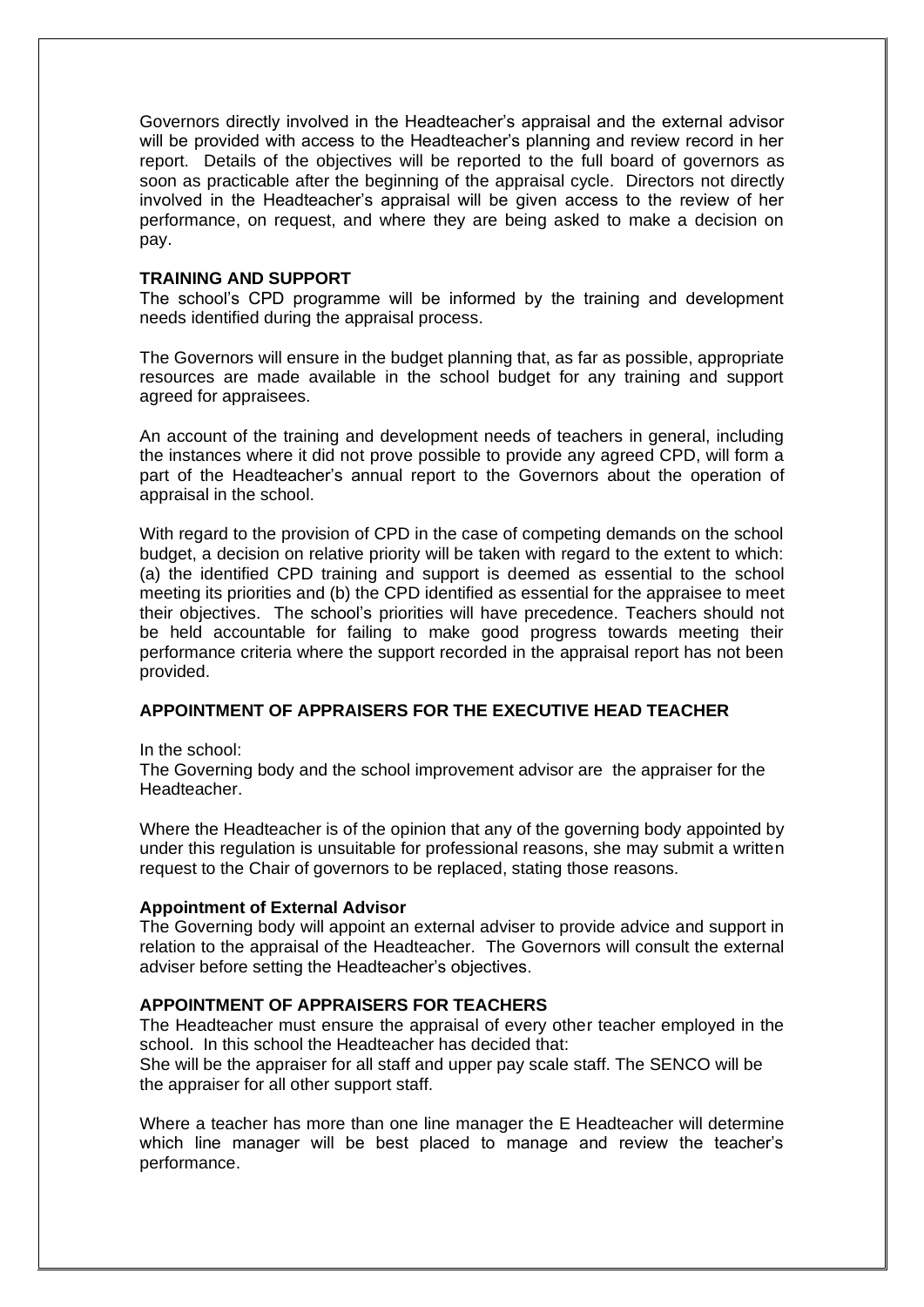Governors directly involved in the Headteacher's appraisal and the external advisor will be provided with access to the Headteacher's planning and review record in her report. Details of the objectives will be reported to the full board of governors as soon as practicable after the beginning of the appraisal cycle. Directors not directly involved in the Headteacher's appraisal will be given access to the review of her performance, on request, and where they are being asked to make a decision on pay.

#### **TRAINING AND SUPPORT**

The school's CPD programme will be informed by the training and development needs identified during the appraisal process.

The Governors will ensure in the budget planning that, as far as possible, appropriate resources are made available in the school budget for any training and support agreed for appraisees.

An account of the training and development needs of teachers in general, including the instances where it did not prove possible to provide any agreed CPD, will form a part of the Headteacher's annual report to the Governors about the operation of appraisal in the school.

With regard to the provision of CPD in the case of competing demands on the school budget, a decision on relative priority will be taken with regard to the extent to which: (a) the identified CPD training and support is deemed as essential to the school meeting its priorities and (b) the CPD identified as essential for the appraisee to meet their objectives. The school's priorities will have precedence. Teachers should not be held accountable for failing to make good progress towards meeting their performance criteria where the support recorded in the appraisal report has not been provided.

# **APPOINTMENT OF APPRAISERS FOR THE EXECUTIVE HEAD TEACHER**

In the school:

The Governing body and the school improvement advisor are the appraiser for the Headteacher.

Where the Headteacher is of the opinion that any of the governing body appointed by under this regulation is unsuitable for professional reasons, she may submit a written request to the Chair of governors to be replaced, stating those reasons.

#### **Appointment of External Advisor**

The Governing body will appoint an external adviser to provide advice and support in relation to the appraisal of the Headteacher. The Governors will consult the external adviser before setting the Headteacher's objectives.

#### **APPOINTMENT OF APPRAISERS FOR TEACHERS**

The Headteacher must ensure the appraisal of every other teacher employed in the school. In this school the Headteacher has decided that:

She will be the appraiser for all staff and upper pay scale staff. The SENCO will be the appraiser for all other support staff.

Where a teacher has more than one line manager the E Headteacher will determine which line manager will be best placed to manage and review the teacher's performance.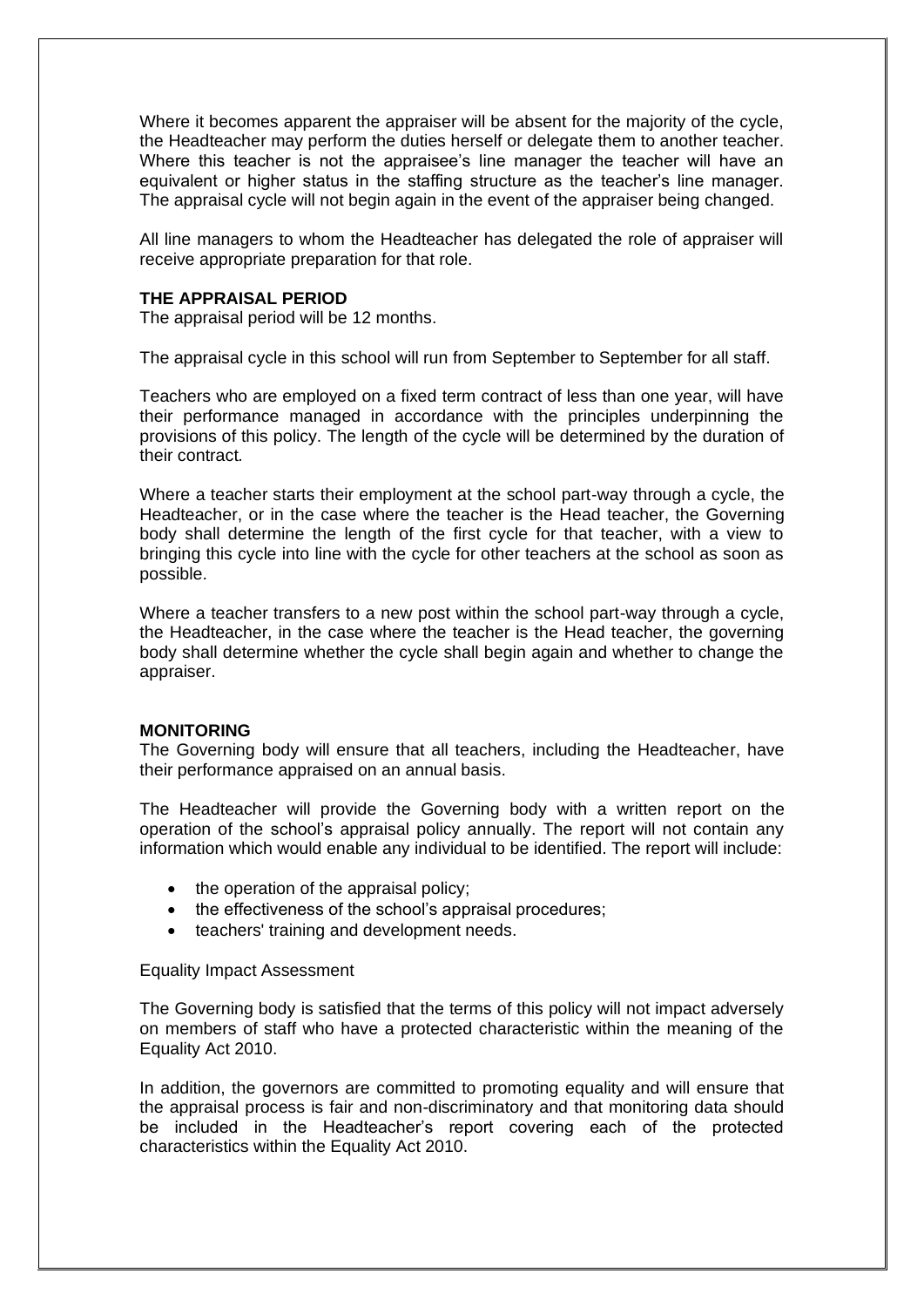Where it becomes apparent the appraiser will be absent for the majority of the cycle, the Headteacher may perform the duties herself or delegate them to another teacher. Where this teacher is not the appraisee's line manager the teacher will have an equivalent or higher status in the staffing structure as the teacher's line manager. The appraisal cycle will not begin again in the event of the appraiser being changed.

All line managers to whom the Headteacher has delegated the role of appraiser will receive appropriate preparation for that role.

#### **THE APPRAISAL PERIOD**

The appraisal period will be 12 months.

The appraisal cycle in this school will run from September to September for all staff.

Teachers who are employed on a fixed term contract of less than one year, will have their performance managed in accordance with the principles underpinning the provisions of this policy. The length of the cycle will be determined by the duration of their contract*.*

Where a teacher starts their employment at the school part-way through a cycle, the Headteacher, or in the case where the teacher is the Head teacher, the Governing body shall determine the length of the first cycle for that teacher, with a view to bringing this cycle into line with the cycle for other teachers at the school as soon as possible.

Where a teacher transfers to a new post within the school part-way through a cycle, the Headteacher, in the case where the teacher is the Head teacher, the governing body shall determine whether the cycle shall begin again and whether to change the appraiser.

#### **MONITORING**

The Governing body will ensure that all teachers, including the Headteacher, have their performance appraised on an annual basis.

The Headteacher will provide the Governing body with a written report on the operation of the school's appraisal policy annually. The report will not contain any information which would enable any individual to be identified. The report will include:

- the operation of the appraisal policy;
- the effectiveness of the school's appraisal procedures;
- teachers' training and development needs.

#### Equality Impact Assessment

The Governing body is satisfied that the terms of this policy will not impact adversely on members of staff who have a protected characteristic within the meaning of the Equality Act 2010.

In addition, the governors are committed to promoting equality and will ensure that the appraisal process is fair and non-discriminatory and that monitoring data should be included in the Headteacher's report covering each of the protected characteristics within the Equality Act 2010.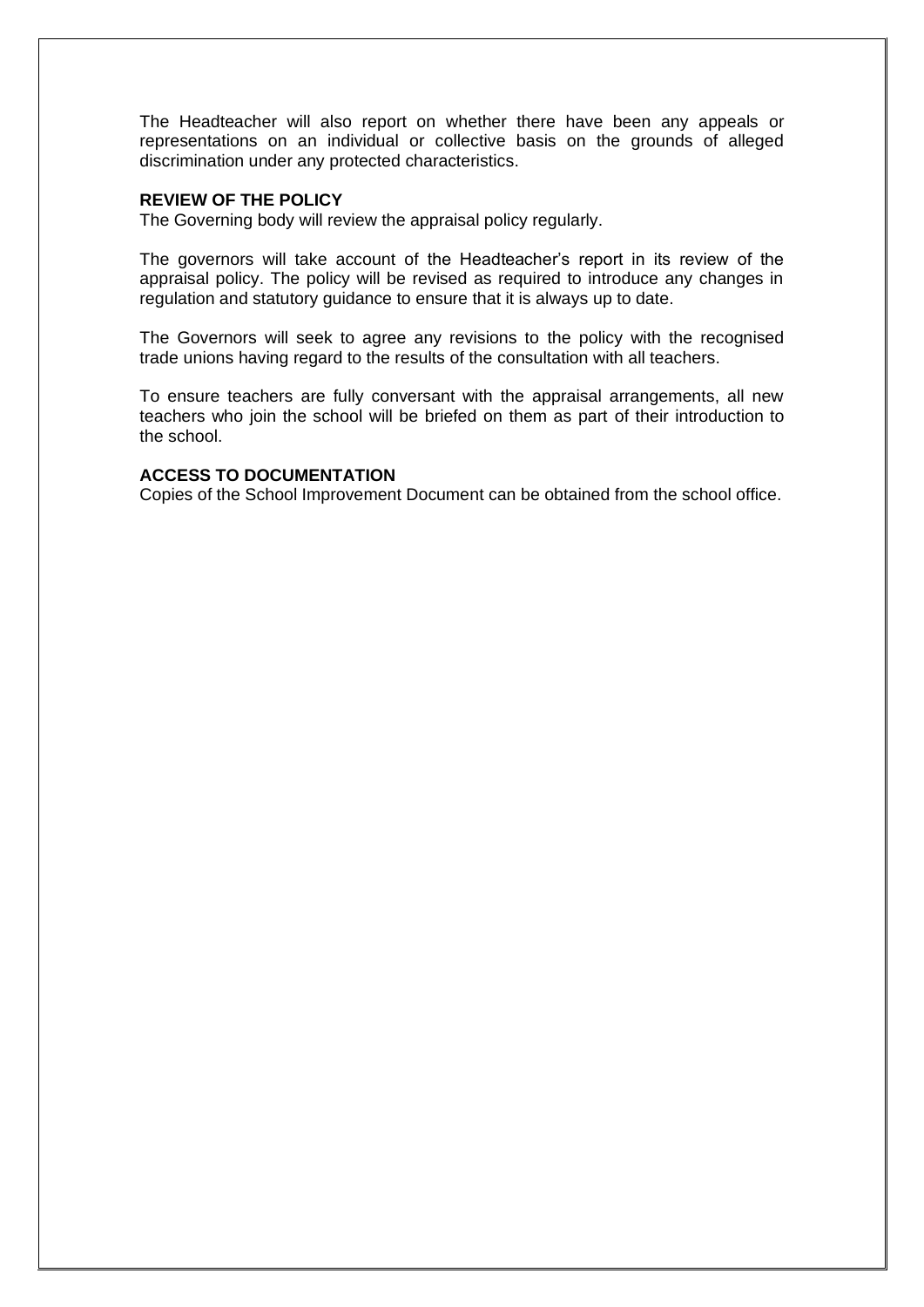The Headteacher will also report on whether there have been any appeals or representations on an individual or collective basis on the grounds of alleged discrimination under any protected characteristics.

# **REVIEW OF THE POLICY**

The Governing body will review the appraisal policy regularly.

The governors will take account of the Headteacher's report in its review of the appraisal policy. The policy will be revised as required to introduce any changes in regulation and statutory guidance to ensure that it is always up to date.

The Governors will seek to agree any revisions to the policy with the recognised trade unions having regard to the results of the consultation with all teachers.

To ensure teachers are fully conversant with the appraisal arrangements, all new teachers who join the school will be briefed on them as part of their introduction to the school.

# **ACCESS TO DOCUMENTATION**

Copies of the School Improvement Document can be obtained from the school office.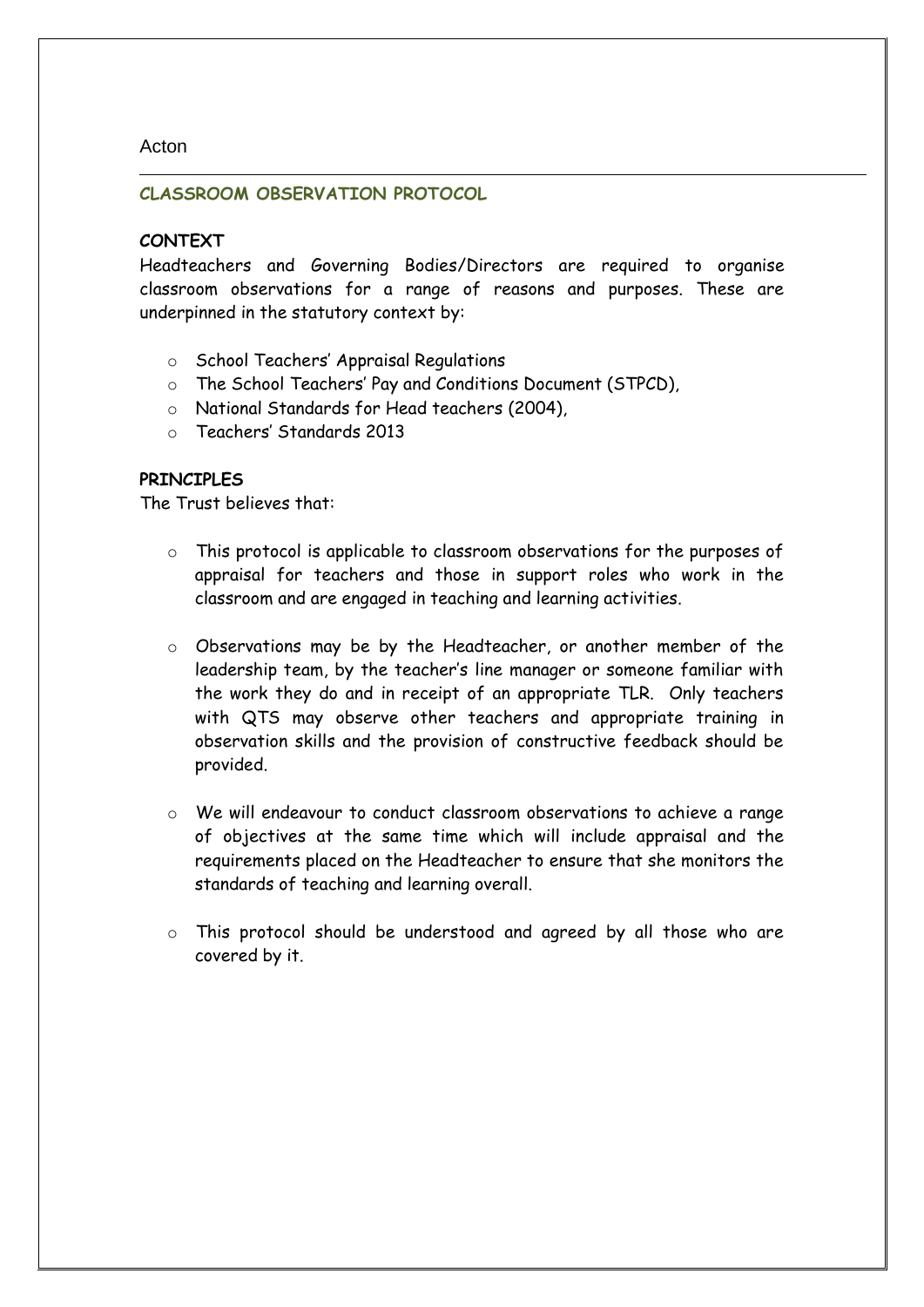# Acton

# **CLASSROOM OBSERVATION PROTOCOL**

# **CONTEXT**

Headteachers and Governing Bodies/Directors are required to organise classroom observations for a range of reasons and purposes. These are underpinned in the statutory context by:

- o School Teachers' Appraisal Regulations
- o The School Teachers' Pay and Conditions Document (STPCD),
- o National Standards for Head teachers (2004),
- o Teachers' Standards 2013

# **PRINCIPLES**

The Trust believes that:

- o This protocol is applicable to classroom observations for the purposes of appraisal for teachers and those in support roles who work in the classroom and are engaged in teaching and learning activities.
- o Observations may be by the Headteacher, or another member of the leadership team, by the teacher's line manager or someone familiar with the work they do and in receipt of an appropriate TLR. Only teachers with QTS may observe other teachers and appropriate training in observation skills and the provision of constructive feedback should be provided.
- o We will endeavour to conduct classroom observations to achieve a range of objectives at the same time which will include appraisal and the requirements placed on the Headteacher to ensure that she monitors the standards of teaching and learning overall.
- o This protocol should be understood and agreed by all those who are covered by it.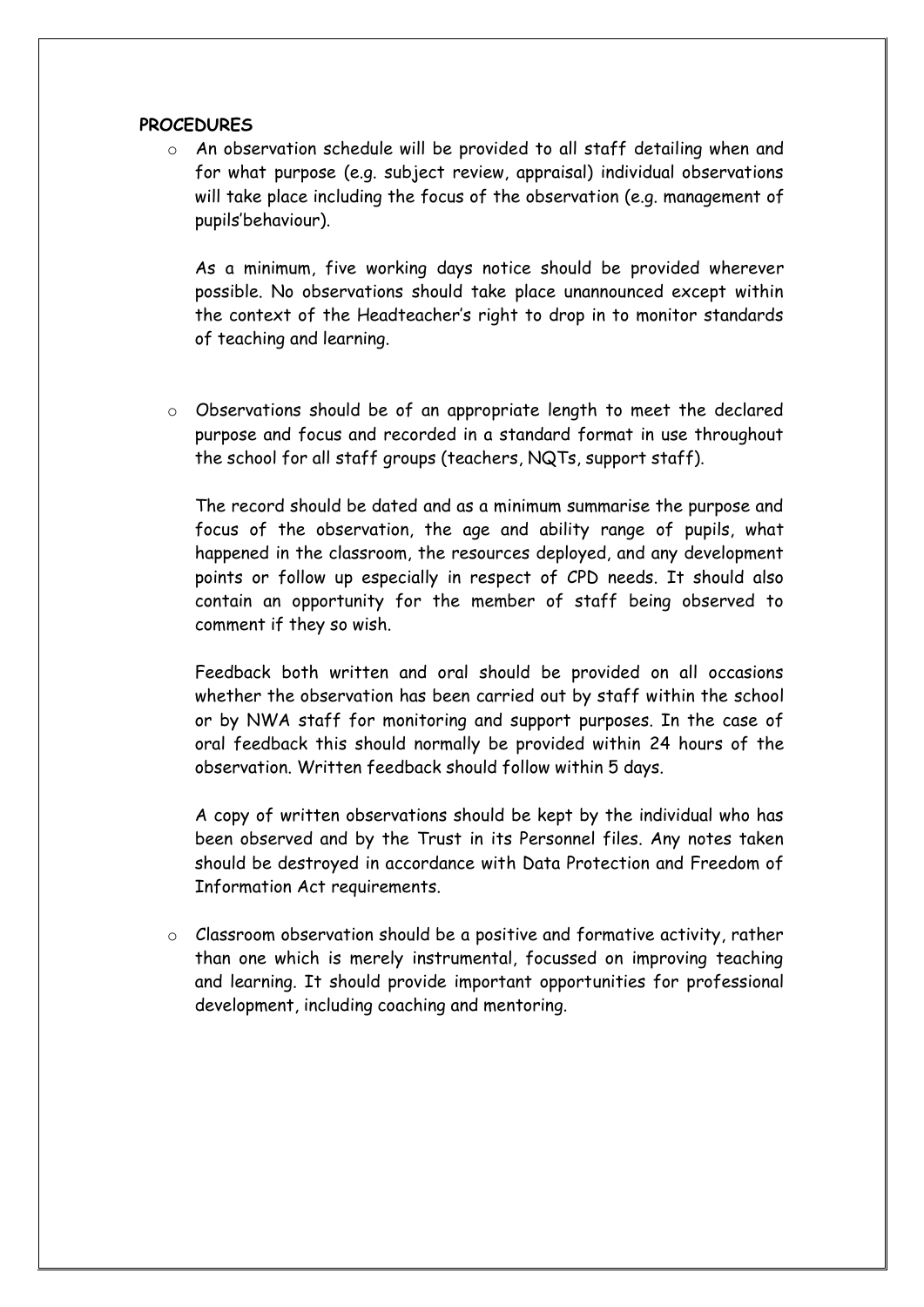# **PROCEDURES**

o An observation schedule will be provided to all staff detailing when and for what purpose (e.g. subject review, appraisal) individual observations will take place including the focus of the observation (e.g. management of pupils'behaviour).

As a minimum, five working days notice should be provided wherever possible. No observations should take place unannounced except within the context of the Headteacher's right to drop in to monitor standards of teaching and learning.

o Observations should be of an appropriate length to meet the declared purpose and focus and recorded in a standard format in use throughout the school for all staff groups (teachers, NQTs, support staff).

The record should be dated and as a minimum summarise the purpose and focus of the observation, the age and ability range of pupils, what happened in the classroom, the resources deployed, and any development points or follow up especially in respect of CPD needs. It should also contain an opportunity for the member of staff being observed to comment if they so wish.

Feedback both written and oral should be provided on all occasions whether the observation has been carried out by staff within the school or by NWA staff for monitoring and support purposes. In the case of oral feedback this should normally be provided within 24 hours of the observation. Written feedback should follow within 5 days.

A copy of written observations should be kept by the individual who has been observed and by the Trust in its Personnel files. Any notes taken should be destroyed in accordance with Data Protection and Freedom of Information Act requirements.

o Classroom observation should be a positive and formative activity, rather than one which is merely instrumental, focussed on improving teaching and learning. It should provide important opportunities for professional development, including coaching and mentoring.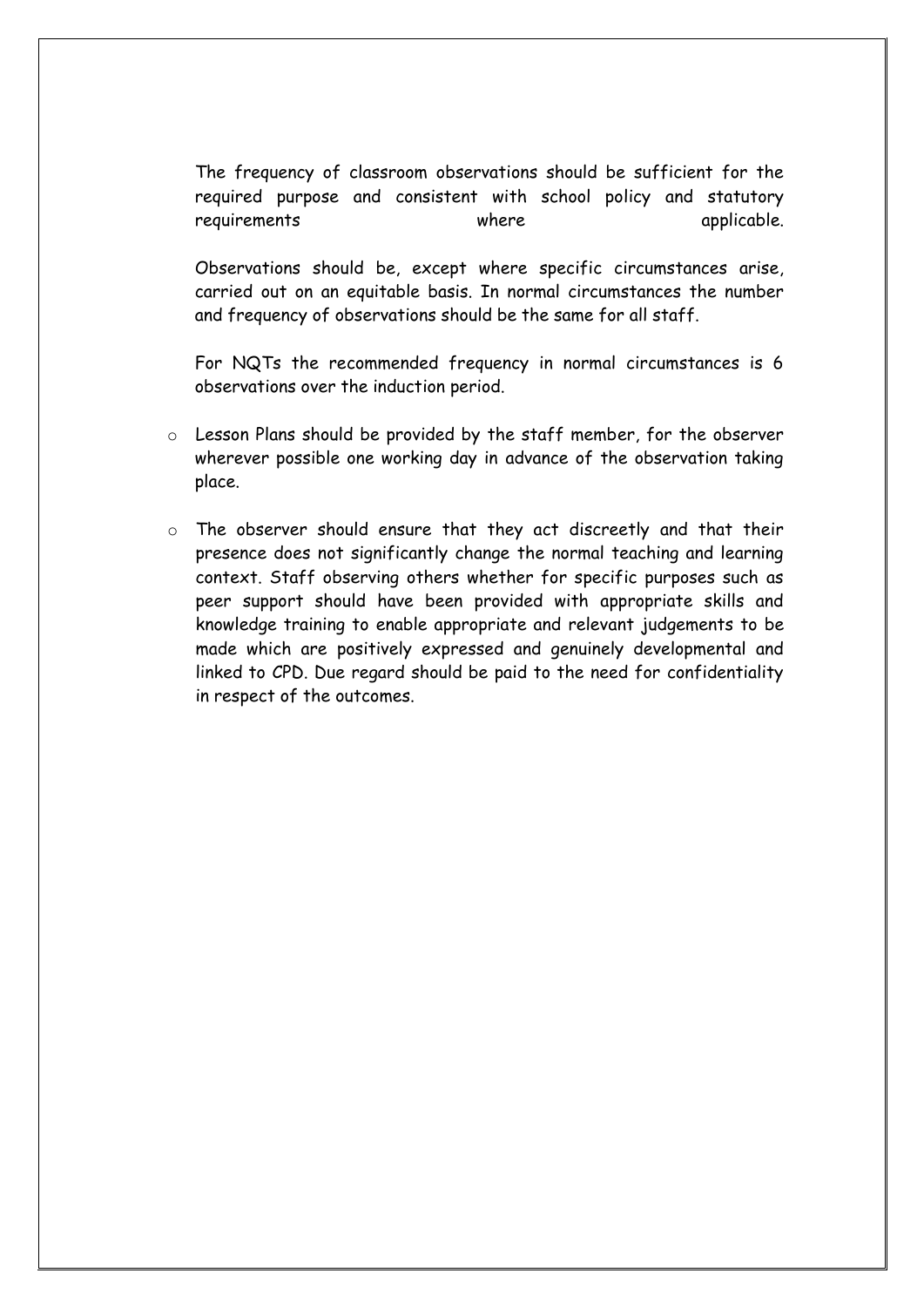The frequency of classroom observations should be sufficient for the required purpose and consistent with school policy and statutory requirements where  $\blacksquare$  applicable.

Observations should be, except where specific circumstances arise, carried out on an equitable basis. In normal circumstances the number and frequency of observations should be the same for all staff.

For NQTs the recommended frequency in normal circumstances is 6 observations over the induction period.

- o Lesson Plans should be provided by the staff member, for the observer wherever possible one working day in advance of the observation taking place.
- o The observer should ensure that they act discreetly and that their presence does not significantly change the normal teaching and learning context. Staff observing others whether for specific purposes such as peer support should have been provided with appropriate skills and knowledge training to enable appropriate and relevant judgements to be made which are positively expressed and genuinely developmental and linked to CPD. Due regard should be paid to the need for confidentiality in respect of the outcomes.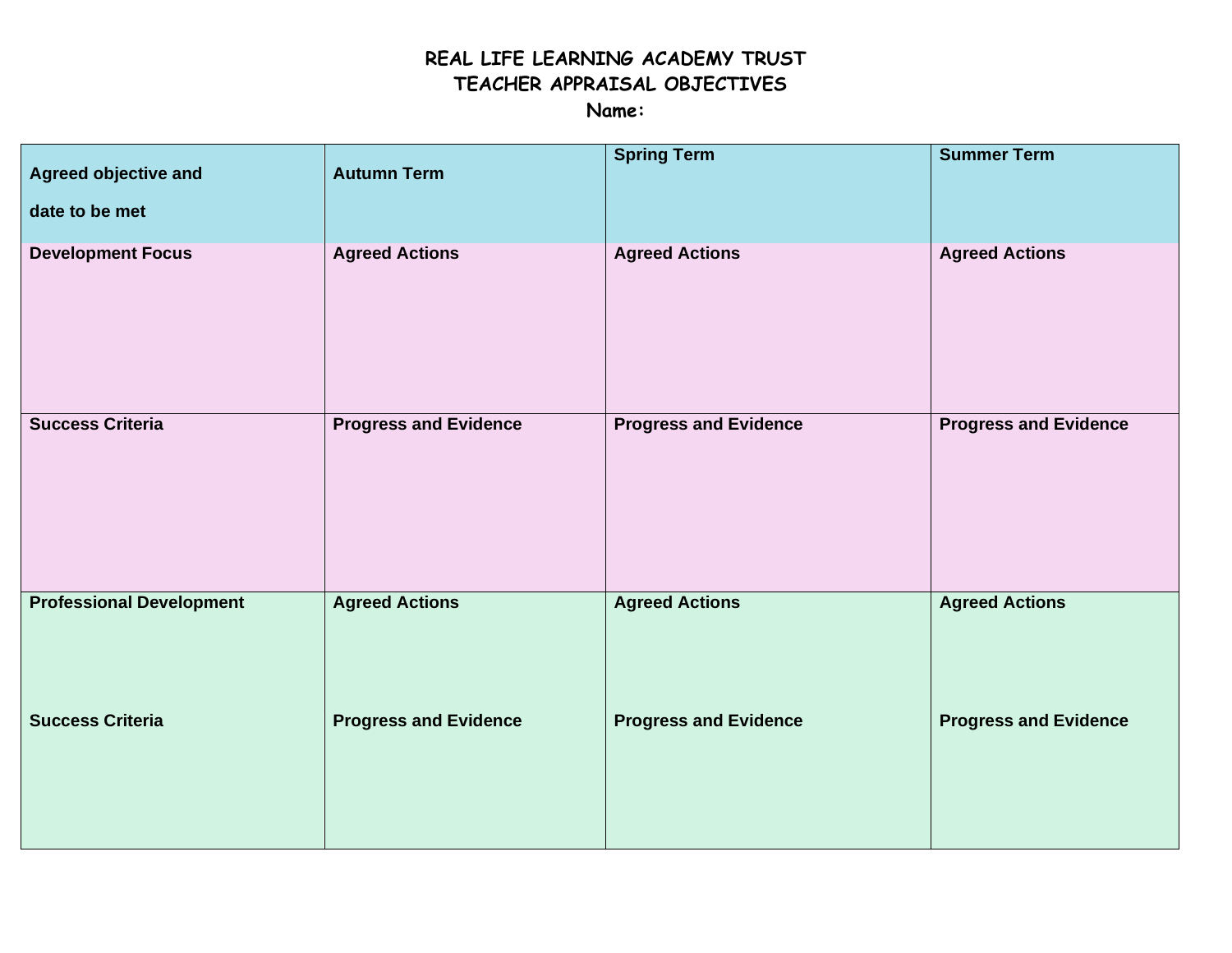# **REAL LIFE LEARNING ACADEMY TRUST TEACHER APPRAISAL OBJECTIVES**

**Name:** 

| <b>Agreed objective and</b><br>date to be met | <b>Autumn Term</b>           | <b>Spring Term</b>           | <b>Summer Term</b>           |
|-----------------------------------------------|------------------------------|------------------------------|------------------------------|
| <b>Development Focus</b>                      | <b>Agreed Actions</b>        | <b>Agreed Actions</b>        | <b>Agreed Actions</b>        |
| <b>Success Criteria</b>                       | <b>Progress and Evidence</b> | <b>Progress and Evidence</b> | <b>Progress and Evidence</b> |
| <b>Professional Development</b>               | <b>Agreed Actions</b>        | <b>Agreed Actions</b>        | <b>Agreed Actions</b>        |
| <b>Success Criteria</b>                       | <b>Progress and Evidence</b> | <b>Progress and Evidence</b> | <b>Progress and Evidence</b> |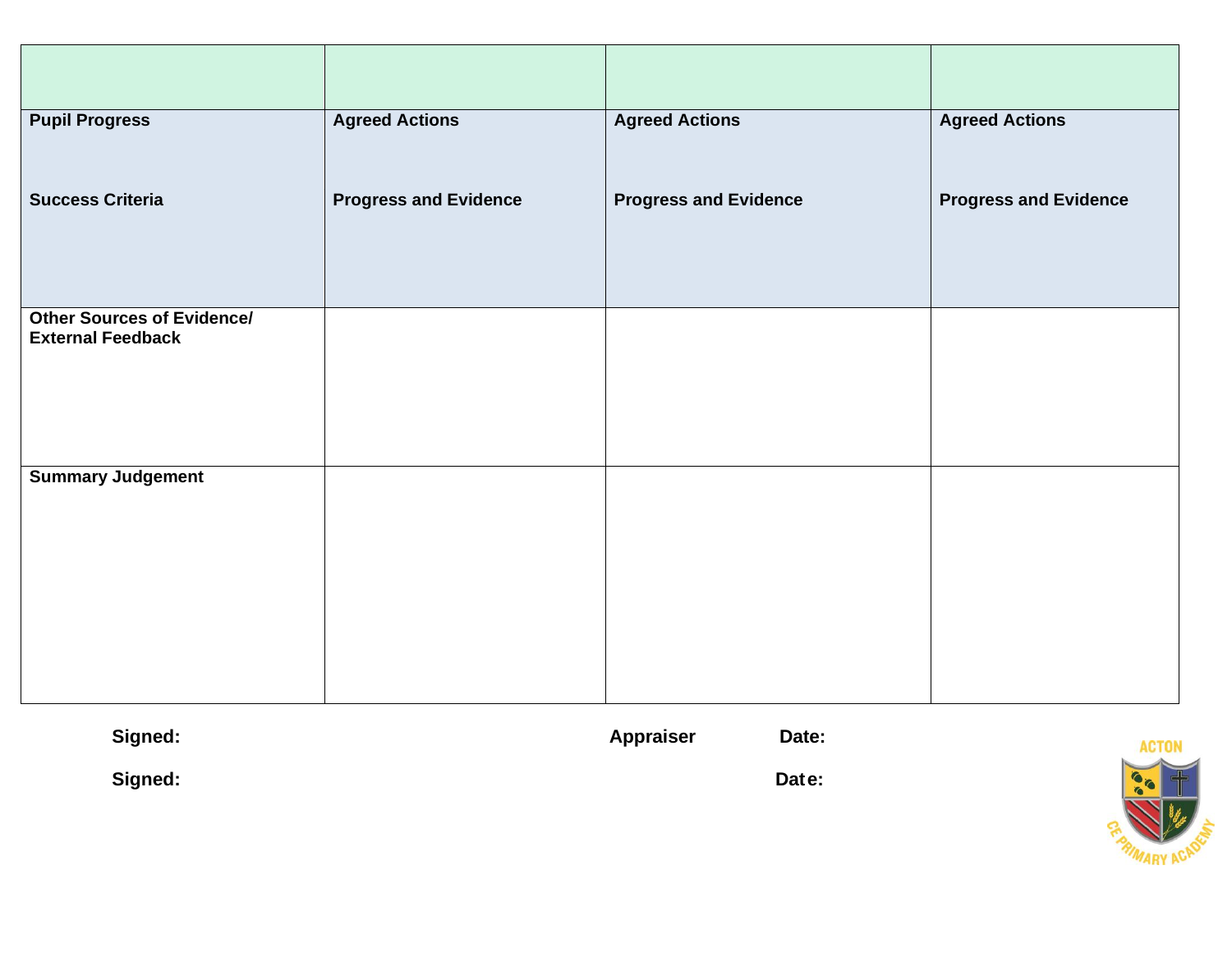| <b>Pupil Progress</b>                                         | <b>Agreed Actions</b>        | <b>Agreed Actions</b>        | <b>Agreed Actions</b>        |
|---------------------------------------------------------------|------------------------------|------------------------------|------------------------------|
| <b>Success Criteria</b>                                       | <b>Progress and Evidence</b> | <b>Progress and Evidence</b> | <b>Progress and Evidence</b> |
| <b>Other Sources of Evidence/</b><br><b>External Feedback</b> |                              |                              |                              |
| <b>Summary Judgement</b>                                      |                              |                              |                              |

| Signed: | <b>Appraiser</b> | Date: |
|---------|------------------|-------|
| Signed: |                  | Date: |

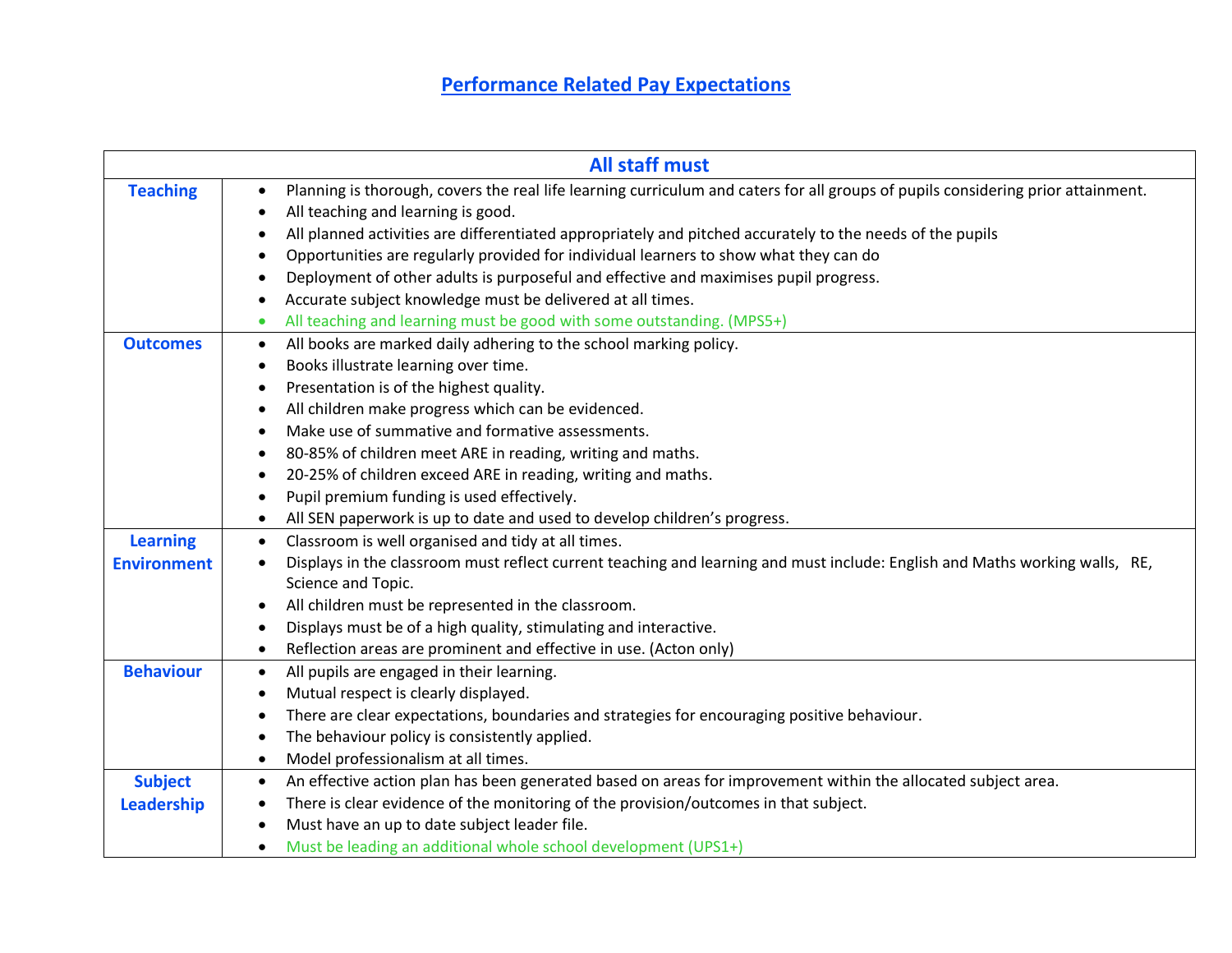# **Performance Related Pay Expectations**

|                    |           | <b>All staff must</b>                                                                                                                             |
|--------------------|-----------|---------------------------------------------------------------------------------------------------------------------------------------------------|
| <b>Teaching</b>    |           | Planning is thorough, covers the real life learning curriculum and caters for all groups of pupils considering prior attainment.                  |
|                    |           | All teaching and learning is good.                                                                                                                |
|                    |           | All planned activities are differentiated appropriately and pitched accurately to the needs of the pupils                                         |
|                    |           | Opportunities are regularly provided for individual learners to show what they can do                                                             |
|                    | $\bullet$ | Deployment of other adults is purposeful and effective and maximises pupil progress.                                                              |
|                    |           | Accurate subject knowledge must be delivered at all times.                                                                                        |
|                    | ٠         | All teaching and learning must be good with some outstanding. (MPS5+)                                                                             |
| <b>Outcomes</b>    | ٠         | All books are marked daily adhering to the school marking policy.                                                                                 |
|                    | ٠         | Books illustrate learning over time.                                                                                                              |
|                    |           | Presentation is of the highest quality.                                                                                                           |
|                    | $\bullet$ | All children make progress which can be evidenced.                                                                                                |
|                    | $\bullet$ | Make use of summative and formative assessments.                                                                                                  |
|                    | ٠         | 80-85% of children meet ARE in reading, writing and maths.                                                                                        |
|                    | ٠         | 20-25% of children exceed ARE in reading, writing and maths.                                                                                      |
|                    |           | Pupil premium funding is used effectively.                                                                                                        |
|                    |           | All SEN paperwork is up to date and used to develop children's progress.                                                                          |
| <b>Learning</b>    | $\bullet$ | Classroom is well organised and tidy at all times.                                                                                                |
| <b>Environment</b> | $\bullet$ | Displays in the classroom must reflect current teaching and learning and must include: English and Maths working walls, RE,<br>Science and Topic. |
|                    |           | All children must be represented in the classroom.                                                                                                |
|                    | $\bullet$ | Displays must be of a high quality, stimulating and interactive.                                                                                  |
|                    | $\bullet$ | Reflection areas are prominent and effective in use. (Acton only)                                                                                 |
| <b>Behaviour</b>   | $\bullet$ | All pupils are engaged in their learning.                                                                                                         |
|                    | $\bullet$ | Mutual respect is clearly displayed.                                                                                                              |
|                    | $\bullet$ | There are clear expectations, boundaries and strategies for encouraging positive behaviour.                                                       |
|                    |           | The behaviour policy is consistently applied.                                                                                                     |
|                    | $\bullet$ | Model professionalism at all times.                                                                                                               |
| <b>Subject</b>     | $\bullet$ | An effective action plan has been generated based on areas for improvement within the allocated subject area.                                     |
| Leadership         | ٠         | There is clear evidence of the monitoring of the provision/outcomes in that subject.                                                              |
|                    | $\bullet$ | Must have an up to date subject leader file.                                                                                                      |
|                    | $\bullet$ | Must be leading an additional whole school development (UPS1+)                                                                                    |